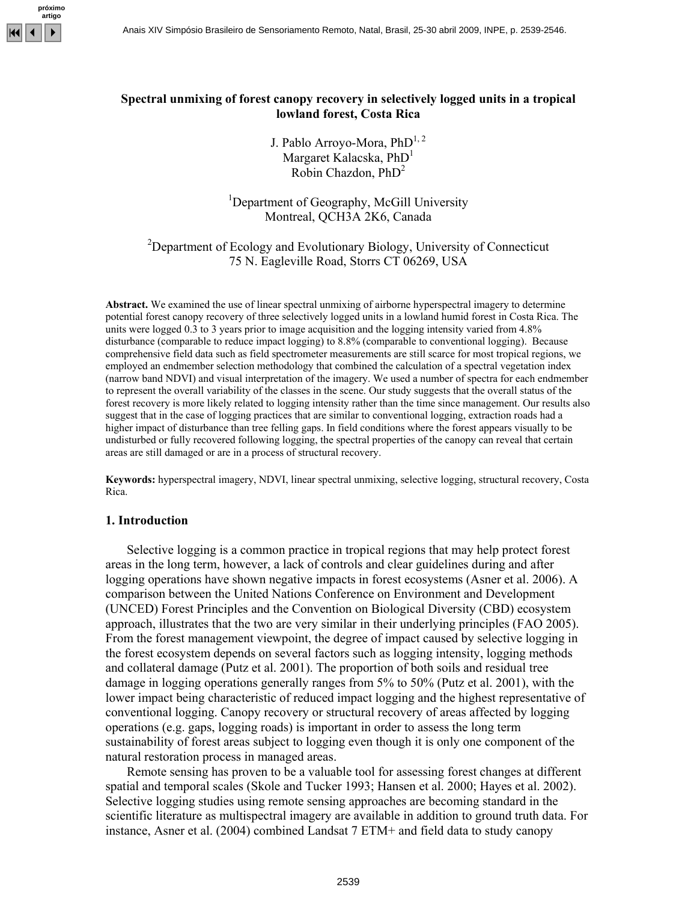

## **Spectral unmixing of forest canopy recovery in selectively logged units in a tropical lowland forest, Costa Rica**

J. Pablo Arroyo-Mora,  $PhD^{1,2}$ Margaret Kalacska,  $PhD<sup>1</sup>$ Robin Chazdon,  $PhD<sup>2</sup>$ 

<sup>1</sup>Department of Geography, McGill University Montreal, QCH3A 2K6, Canada

# <sup>2</sup>Department of Ecology and Evolutionary Biology, University of Connecticut 75 N. Eagleville Road, Storrs CT 06269, USA

**Abstract.** We examined the use of linear spectral unmixing of airborne hyperspectral imagery to determine potential forest canopy recovery of three selectively logged units in a lowland humid forest in Costa Rica. The units were logged 0.3 to 3 years prior to image acquisition and the logging intensity varied from 4.8% disturbance (comparable to reduce impact logging) to 8.8% (comparable to conventional logging). Because comprehensive field data such as field spectrometer measurements are still scarce for most tropical regions, we employed an endmember selection methodology that combined the calculation of a spectral vegetation index (narrow band NDVI) and visual interpretation of the imagery. We used a number of spectra for each endmember to represent the overall variability of the classes in the scene. Our study suggests that the overall status of the forest recovery is more likely related to logging intensity rather than the time since management. Our results also suggest that in the case of logging practices that are similar to conventional logging, extraction roads had a higher impact of disturbance than tree felling gaps. In field conditions where the forest appears visually to be undisturbed or fully recovered following logging, the spectral properties of the canopy can reveal that certain areas are still damaged or are in a process of structural recovery.

**Keywords:** hyperspectral imagery, NDVI, linear spectral unmixing, selective logging, structural recovery, Costa Rica.

#### **1. Introduction**

Selective logging is a common practice in tropical regions that may help protect forest areas in the long term, however, a lack of controls and clear guidelines during and after logging operations have shown negative impacts in forest ecosystems (Asner et al. 2006). A comparison between the United Nations Conference on Environment and Development (UNCED) Forest Principles and the Convention on Biological Diversity (CBD) ecosystem approach, illustrates that the two are very similar in their underlying principles (FAO 2005). From the forest management viewpoint, the degree of impact caused by selective logging in the forest ecosystem depends on several factors such as logging intensity, logging methods and collateral damage (Putz et al. 2001). The proportion of both soils and residual tree damage in logging operations generally ranges from 5% to 50% (Putz et al. 2001), with the lower impact being characteristic of reduced impact logging and the highest representative of conventional logging. Canopy recovery or structural recovery of areas affected by logging operations (e.g. gaps, logging roads) is important in order to assess the long term sustainability of forest areas subject to logging even though it is only one component of the natural restoration process in managed areas.

Remote sensing has proven to be a valuable tool for assessing forest changes at different spatial and temporal scales (Skole and Tucker 1993; Hansen et al. 2000; Hayes et al. 2002). Selective logging studies using remote sensing approaches are becoming standard in the scientific literature as multispectral imagery are available in addition to ground truth data. For instance, Asner et al. (2004) combined Landsat 7 ETM+ and field data to study canopy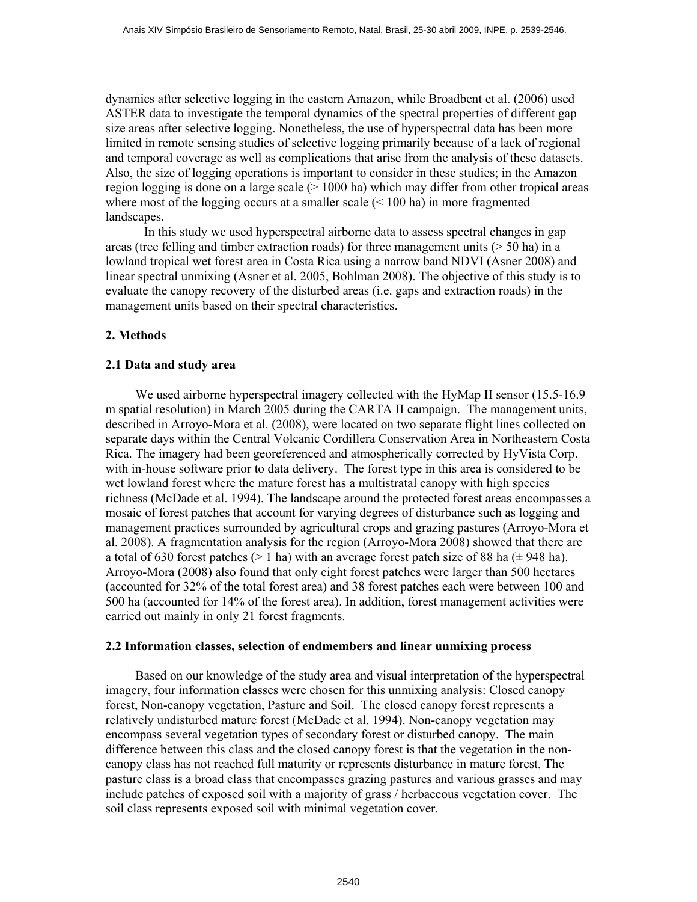dynamics after selective logging in the eastern Amazon, while Broadbent et al. (2006) used ASTER data to investigate the temporal dynamics of the spectral properties of different gap size areas after selective logging. Nonetheless, the use of hyperspectral data has been more limited in remote sensing studies of selective logging primarily because of a lack of regional and temporal coverage as well as complications that arise from the analysis of these datasets. Also, the size of logging operations is important to consider in these studies; in the Amazon region logging is done on a large scale (> 1000 ha) which may differ from other tropical areas where most of the logging occurs at a smaller scale (< 100 ha) in more fragmented landscapes.

 In this study we used hyperspectral airborne data to assess spectral changes in gap areas (tree felling and timber extraction roads) for three management units  $($  > 50 ha) in a lowland tropical wet forest area in Costa Rica using a narrow band NDVI (Asner 2008) and linear spectral unmixing (Asner et al. 2005, Bohlman 2008). The objective of this study is to evaluate the canopy recovery of the disturbed areas (i.e. gaps and extraction roads) in the management units based on their spectral characteristics.

## **2. Methods**

## **2.1 Data and study area**

 We used airborne hyperspectral imagery collected with the HyMap II sensor (15.5-16.9 m spatial resolution) in March 2005 during the CARTA II campaign. The management units, described in Arroyo-Mora et al. (2008), were located on two separate flight lines collected on separate days within the Central Volcanic Cordillera Conservation Area in Northeastern Costa Rica. The imagery had been georeferenced and atmospherically corrected by HyVista Corp. with in-house software prior to data delivery. The forest type in this area is considered to be wet lowland forest where the mature forest has a multistratal canopy with high species richness (McDade et al. 1994). The landscape around the protected forest areas encompasses a mosaic of forest patches that account for varying degrees of disturbance such as logging and management practices surrounded by agricultural crops and grazing pastures (Arroyo-Mora et al. 2008). A fragmentation analysis for the region (Arroyo-Mora 2008) showed that there are a total of 630 forest patches ( $> 1$  ha) with an average forest patch size of 88 ha ( $\pm$  948 ha). Arroyo-Mora (2008) also found that only eight forest patches were larger than 500 hectares (accounted for 32% of the total forest area) and 38 forest patches each were between 100 and 500 ha (accounted for 14% of the forest area). In addition, forest management activities were carried out mainly in only 21 forest fragments.

### **2.2 Information classes, selection of endmembers and linear unmixing process**

 Based on our knowledge of the study area and visual interpretation of the hyperspectral imagery, four information classes were chosen for this unmixing analysis: Closed canopy forest, Non-canopy vegetation, Pasture and Soil. The closed canopy forest represents a relatively undisturbed mature forest (McDade et al. 1994). Non-canopy vegetation may encompass several vegetation types of secondary forest or disturbed canopy. The main difference between this class and the closed canopy forest is that the vegetation in the noncanopy class has not reached full maturity or represents disturbance in mature forest. The pasture class is a broad class that encompasses grazing pastures and various grasses and may include patches of exposed soil with a majority of grass / herbaceous vegetation cover. The soil class represents exposed soil with minimal vegetation cover.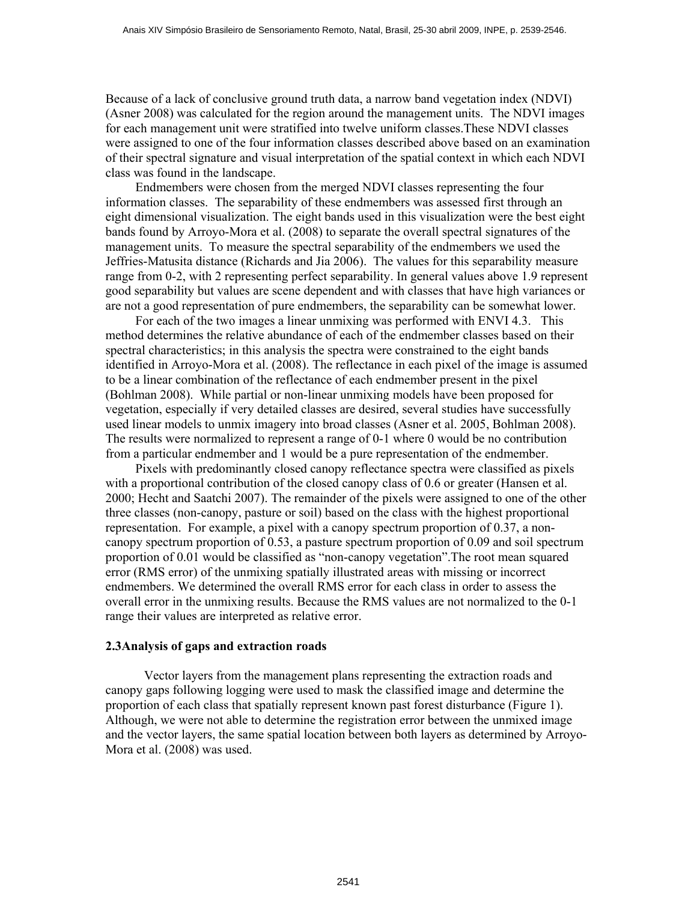Because of a lack of conclusive ground truth data, a narrow band vegetation index (NDVI) (Asner 2008) was calculated for the region around the management units. The NDVI images for each management unit were stratified into twelve uniform classes.These NDVI classes were assigned to one of the four information classes described above based on an examination of their spectral signature and visual interpretation of the spatial context in which each NDVI class was found in the landscape.

 Endmembers were chosen from the merged NDVI classes representing the four information classes. The separability of these endmembers was assessed first through an eight dimensional visualization. The eight bands used in this visualization were the best eight bands found by Arroyo-Mora et al. (2008) to separate the overall spectral signatures of the management units. To measure the spectral separability of the endmembers we used the Jeffries-Matusita distance (Richards and Jia 2006). The values for this separability measure range from 0-2, with 2 representing perfect separability. In general values above 1.9 represent good separability but values are scene dependent and with classes that have high variances or are not a good representation of pure endmembers, the separability can be somewhat lower.

 For each of the two images a linear unmixing was performed with ENVI 4.3. This method determines the relative abundance of each of the endmember classes based on their spectral characteristics; in this analysis the spectra were constrained to the eight bands identified in Arroyo-Mora et al. (2008). The reflectance in each pixel of the image is assumed to be a linear combination of the reflectance of each endmember present in the pixel (Bohlman 2008). While partial or non-linear unmixing models have been proposed for vegetation, especially if very detailed classes are desired, several studies have successfully used linear models to unmix imagery into broad classes (Asner et al. 2005, Bohlman 2008). The results were normalized to represent a range of 0-1 where 0 would be no contribution from a particular endmember and 1 would be a pure representation of the endmember.

 Pixels with predominantly closed canopy reflectance spectra were classified as pixels with a proportional contribution of the closed canopy class of 0.6 or greater (Hansen et al. 2000; Hecht and Saatchi 2007). The remainder of the pixels were assigned to one of the other three classes (non-canopy, pasture or soil) based on the class with the highest proportional representation. For example, a pixel with a canopy spectrum proportion of 0.37, a noncanopy spectrum proportion of 0.53, a pasture spectrum proportion of 0.09 and soil spectrum proportion of 0.01 would be classified as "non-canopy vegetation".The root mean squared error (RMS error) of the unmixing spatially illustrated areas with missing or incorrect endmembers. We determined the overall RMS error for each class in order to assess the overall error in the unmixing results. Because the RMS values are not normalized to the 0-1 range their values are interpreted as relative error.

#### **2.3Analysis of gaps and extraction roads**

 Vector layers from the management plans representing the extraction roads and canopy gaps following logging were used to mask the classified image and determine the proportion of each class that spatially represent known past forest disturbance (Figure 1). Although, we were not able to determine the registration error between the unmixed image and the vector layers, the same spatial location between both layers as determined by Arroyo-Mora et al. (2008) was used.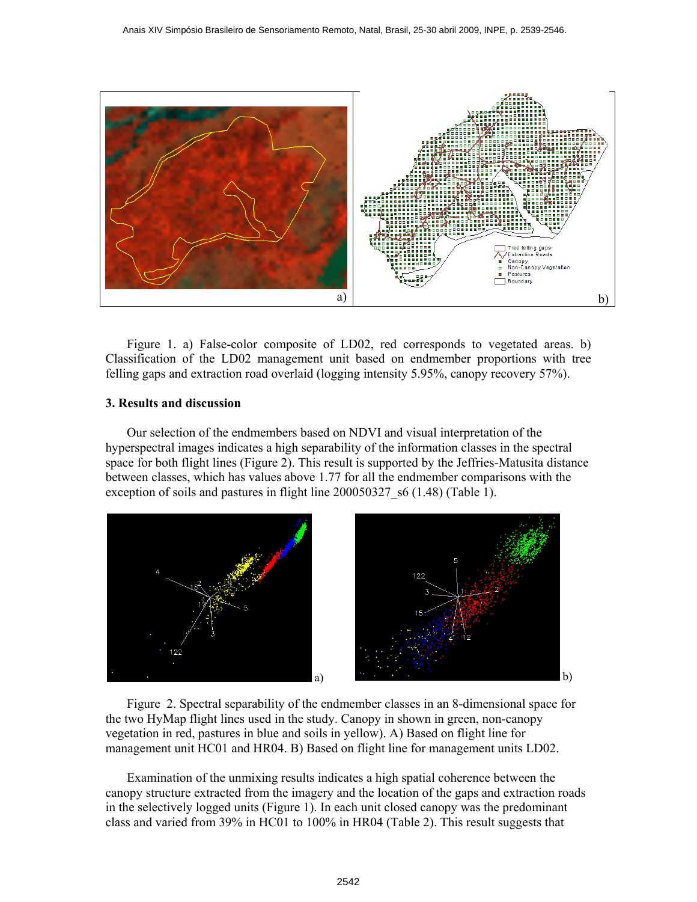

Figure 1. a) False-color composite of LD02, red corresponds to vegetated areas. b) Classification of the LD02 management unit based on endmember proportions with tree felling gaps and extraction road overlaid (logging intensity 5.95%, canopy recovery 57%).

### **3. Results and discussion**

Our selection of the endmembers based on NDVI and visual interpretation of the hyperspectral images indicates a high separability of the information classes in the spectral space for both flight lines (Figure 2). This result is supported by the Jeffries-Matusita distance between classes, which has values above 1.77 for all the endmember comparisons with the exception of soils and pastures in flight line 200050327 s6 (1.48) (Table 1).



Figure 2. Spectral separability of the endmember classes in an 8-dimensional space for the two HyMap flight lines used in the study. Canopy in shown in green, non-canopy vegetation in red, pastures in blue and soils in yellow). A) Based on flight line for management unit HC01 and HR04. B) Based on flight line for management units LD02.

Examination of the unmixing results indicates a high spatial coherence between the canopy structure extracted from the imagery and the location of the gaps and extraction roads in the selectively logged units (Figure 1). In each unit closed canopy was the predominant class and varied from 39% in HC01 to 100% in HR04 (Table 2). This result suggests that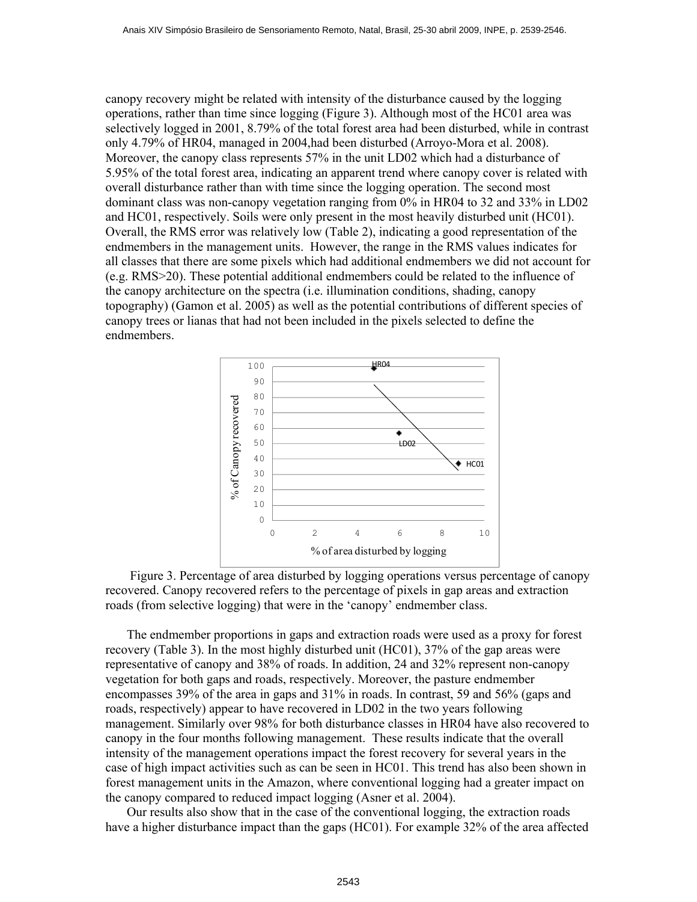canopy recovery might be related with intensity of the disturbance caused by the logging operations, rather than time since logging (Figure 3). Although most of the HC01 area was selectively logged in 2001, 8.79% of the total forest area had been disturbed, while in contrast only 4.79% of HR04, managed in 2004,had been disturbed (Arroyo-Mora et al. 2008). Moreover, the canopy class represents 57% in the unit LD02 which had a disturbance of 5.95% of the total forest area, indicating an apparent trend where canopy cover is related with overall disturbance rather than with time since the logging operation. The second most dominant class was non-canopy vegetation ranging from 0% in HR04 to 32 and 33% in LD02 and HC01, respectively. Soils were only present in the most heavily disturbed unit (HC01). Overall, the RMS error was relatively low (Table 2), indicating a good representation of the endmembers in the management units. However, the range in the RMS values indicates for all classes that there are some pixels which had additional endmembers we did not account for (e.g. RMS>20). These potential additional endmembers could be related to the influence of the canopy architecture on the spectra (i.e. illumination conditions, shading, canopy topography) (Gamon et al. 2005) as well as the potential contributions of different species of canopy trees or lianas that had not been included in the pixels selected to define the endmembers.



 Figure 3. Percentage of area disturbed by logging operations versus percentage of canopy recovered. Canopy recovered refers to the percentage of pixels in gap areas and extraction roads (from selective logging) that were in the 'canopy' endmember class.

The endmember proportions in gaps and extraction roads were used as a proxy for forest recovery (Table 3). In the most highly disturbed unit (HC01), 37% of the gap areas were representative of canopy and 38% of roads. In addition, 24 and 32% represent non-canopy vegetation for both gaps and roads, respectively. Moreover, the pasture endmember encompasses 39% of the area in gaps and 31% in roads. In contrast, 59 and 56% (gaps and roads, respectively) appear to have recovered in LD02 in the two years following management. Similarly over 98% for both disturbance classes in HR04 have also recovered to canopy in the four months following management. These results indicate that the overall intensity of the management operations impact the forest recovery for several years in the case of high impact activities such as can be seen in HC01. This trend has also been shown in forest management units in the Amazon, where conventional logging had a greater impact on the canopy compared to reduced impact logging (Asner et al. 2004).

Our results also show that in the case of the conventional logging, the extraction roads have a higher disturbance impact than the gaps (HC01). For example 32% of the area affected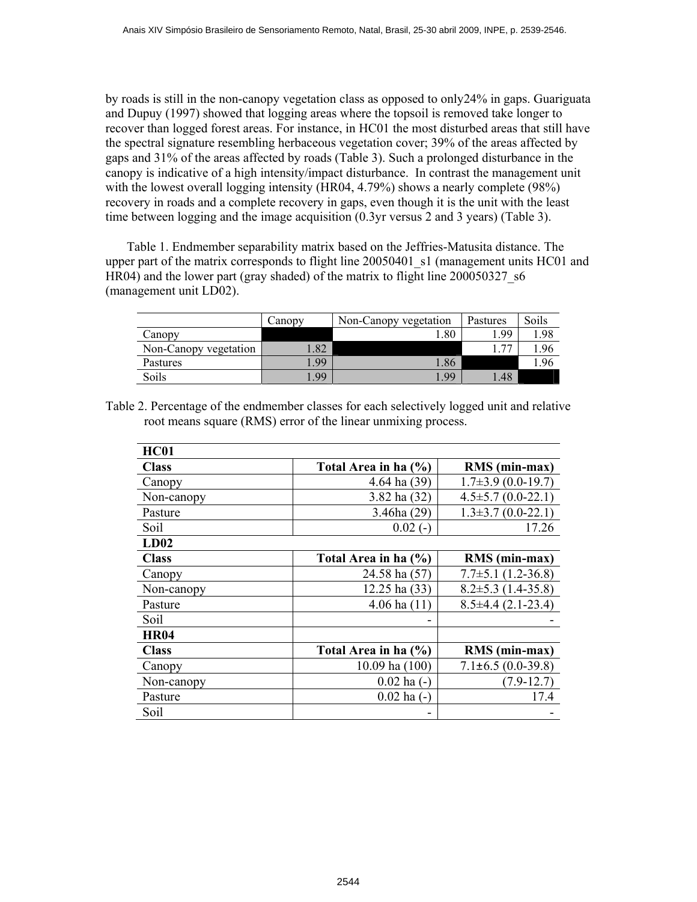by roads is still in the non-canopy vegetation class as opposed to only24% in gaps. Guariguata and Dupuy (1997) showed that logging areas where the topsoil is removed take longer to recover than logged forest areas. For instance, in HC01 the most disturbed areas that still have the spectral signature resembling herbaceous vegetation cover; 39% of the areas affected by gaps and 31% of the areas affected by roads (Table 3). Such a prolonged disturbance in the canopy is indicative of a high intensity/impact disturbance. In contrast the management unit with the lowest overall logging intensity (HR04, 4.79%) shows a nearly complete (98%) recovery in roads and a complete recovery in gaps, even though it is the unit with the least time between logging and the image acquisition (0.3yr versus 2 and 3 years) (Table 3).

Table 1. Endmember separability matrix based on the Jeffries-Matusita distance. The upper part of the matrix corresponds to flight line 20050401 s1 (management units HC01 and HR04) and the lower part (gray shaded) of the matrix to flight line 200050327 s6 (management unit LD02).

|                       | Canopy | Non-Canopy vegetation | Pastures | Soils |
|-----------------------|--------|-----------------------|----------|-------|
| Canopy                |        | 1.80                  | 1.99     | 1.98  |
| Non-Canopy vegetation | .82    |                       | 77       | .96   |
| Pastures              | .99    | 1.86                  |          | .96   |
| Soils                 | .99    | .99                   | 1.48     |       |

Table 2. Percentage of the endmember classes for each selectively logged unit and relative root means square (RMS) error of the linear unmixing process.

| <b>HC01</b>  |                      |                          |
|--------------|----------------------|--------------------------|
| <b>Class</b> | Total Area in ha (%) | RMS (min-max)            |
| Canopy       | 4.64 ha (39)         | $1.7\pm3.9$ (0.0-19.7)   |
| Non-canopy   | 3.82 ha (32)         | $4.5\pm5.7(0.0-22.1)$    |
| Pasture      | 3.46ha(29)           | $1.3\pm3.7(0.0-22.1)$    |
| Soil         | $0.02(-)$            | 17.26                    |
| LD02         |                      |                          |
| <b>Class</b> | Total Area in ha (%) | RMS (min-max)            |
| Canopy       | 24.58 ha (57)        | $7.7\pm5.1(1.2-36.8)$    |
| Non-canopy   | 12.25 ha (33)        | $8.2 \pm 5.3$ (1.4-35.8) |
| Pasture      | 4.06 ha $(11)$       | $8.5\pm4.4(2.1-23.4)$    |
| Soil         |                      |                          |
| <b>HR04</b>  |                      |                          |
| <b>Class</b> | Total Area in ha (%) | RMS (min-max)            |
| Canopy       | $10.09$ ha $(100)$   | $7.1\pm 6.5(0.0-39.8)$   |
| Non-canopy   | $0.02$ ha $(-)$      | $(7.9-12.7)$             |
| Pasture      | $0.02$ ha $(-)$      | 17.4                     |
| Soil         |                      |                          |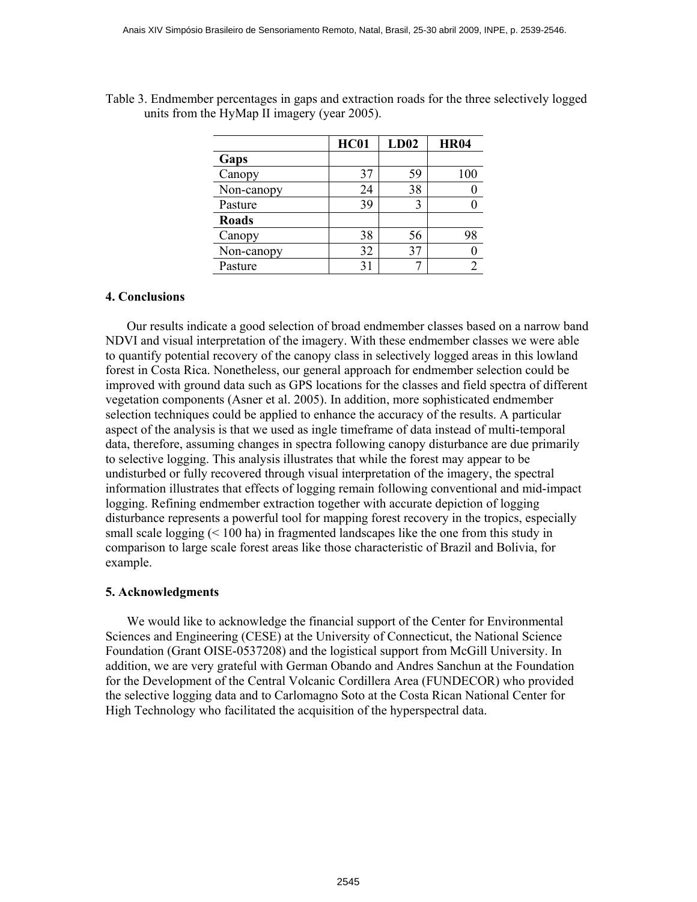|              | <b>HC01</b> | LD02 | <b>HR04</b> |
|--------------|-------------|------|-------------|
| Gaps         |             |      |             |
| Canopy       | 37          | 59   | 100         |
| Non-canopy   | 24          | 38   |             |
| Pasture      | 39          |      |             |
| <b>Roads</b> |             |      |             |
| Canopy       | 38          | 56   | 98          |
| Non-canopy   | 32          | 37   |             |
| Pasture      | 31          |      |             |

Table 3. Endmember percentages in gaps and extraction roads for the three selectively logged units from the HyMap II imagery (year 2005).

# **4. Conclusions**

Our results indicate a good selection of broad endmember classes based on a narrow band NDVI and visual interpretation of the imagery. With these endmember classes we were able to quantify potential recovery of the canopy class in selectively logged areas in this lowland forest in Costa Rica. Nonetheless, our general approach for endmember selection could be improved with ground data such as GPS locations for the classes and field spectra of different vegetation components (Asner et al. 2005). In addition, more sophisticated endmember selection techniques could be applied to enhance the accuracy of the results. A particular aspect of the analysis is that we used as ingle timeframe of data instead of multi-temporal data, therefore, assuming changes in spectra following canopy disturbance are due primarily to selective logging. This analysis illustrates that while the forest may appear to be undisturbed or fully recovered through visual interpretation of the imagery, the spectral information illustrates that effects of logging remain following conventional and mid-impact logging. Refining endmember extraction together with accurate depiction of logging disturbance represents a powerful tool for mapping forest recovery in the tropics, especially small scale logging (< 100 ha) in fragmented landscapes like the one from this study in comparison to large scale forest areas like those characteristic of Brazil and Bolivia, for example.

## **5. Acknowledgments**

We would like to acknowledge the financial support of the Center for Environmental Sciences and Engineering (CESE) at the University of Connecticut, the National Science Foundation (Grant OISE-0537208) and the logistical support from McGill University. In addition, we are very grateful with German Obando and Andres Sanchun at the Foundation for the Development of the Central Volcanic Cordillera Area (FUNDECOR) who provided the selective logging data and to Carlomagno Soto at the Costa Rican National Center for High Technology who facilitated the acquisition of the hyperspectral data.